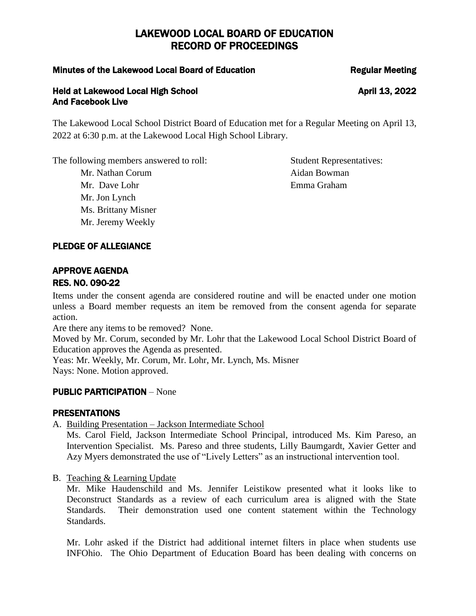## Minutes of the Lakewood Local Board of Education Negular Meeting

## Held at Lakewood Local High School April 13, 2022 And Facebook Live

The Lakewood Local School District Board of Education met for a Regular Meeting on April 13, 2022 at 6:30 p.m. at the Lakewood Local High School Library.

The following members answered to roll: Student Representatives:

Mr. Dave Lohr **Emma Graham** Mr. Jon Lynch Ms. Brittany Misner Mr. Jeremy Weekly

Mr. Nathan Corum **Aidan Bowman** 

# PLEDGE OF ALLEGIANCE

## APPROVE AGENDA RES. NO. 090-22

Items under the consent agenda are considered routine and will be enacted under one motion unless a Board member requests an item be removed from the consent agenda for separate action.

Are there any items to be removed? None.

Moved by Mr. Corum, seconded by Mr. Lohr that the Lakewood Local School District Board of Education approves the Agenda as presented.

Yeas: Mr. Weekly, Mr. Corum, Mr. Lohr, Mr. Lynch, Ms. Misner Nays: None. Motion approved.

# PUBLIC PARTICIPATION – None

# PRESENTATIONS

A. Building Presentation – Jackson Intermediate School

Ms. Carol Field, Jackson Intermediate School Principal, introduced Ms. Kim Pareso, an Intervention Specialist. Ms. Pareso and three students, Lilly Baumgardt, Xavier Getter and Azy Myers demonstrated the use of "Lively Letters" as an instructional intervention tool.

B. Teaching & Learning Update

Mr. Mike Haudenschild and Ms. Jennifer Leistikow presented what it looks like to Deconstruct Standards as a review of each curriculum area is aligned with the State Standards. Their demonstration used one content statement within the Technology Standards.

Mr. Lohr asked if the District had additional internet filters in place when students use INFOhio. The Ohio Department of Education Board has been dealing with concerns on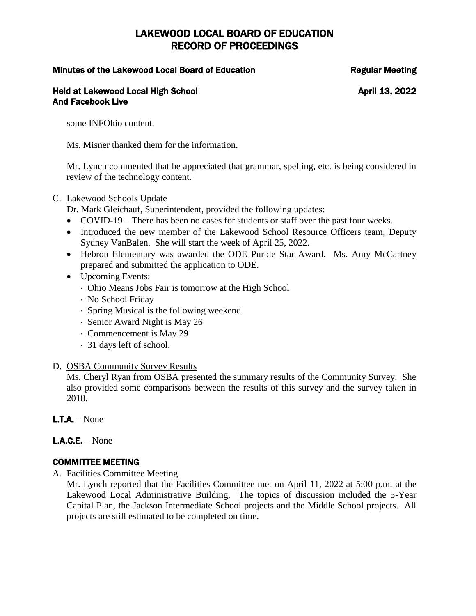## Minutes of the Lakewood Local Board of Education The Regular Meeting

### Held at Lakewood Local High School April 13, 2022 And Facebook Live

some INFOhio content.

Ms. Misner thanked them for the information.

Mr. Lynch commented that he appreciated that grammar, spelling, etc. is being considered in review of the technology content.

## C. Lakewood Schools Update

Dr. Mark Gleichauf, Superintendent, provided the following updates:

- COVID-19 There has been no cases for students or staff over the past four weeks.
- Introduced the new member of the Lakewood School Resource Officers team, Deputy Sydney VanBalen. She will start the week of April 25, 2022.
- Hebron Elementary was awarded the ODE Purple Star Award. Ms. Amy McCartney prepared and submitted the application to ODE.
- Upcoming Events:
	- Ohio Means Jobs Fair is tomorrow at the High School
	- No School Friday
	- Spring Musical is the following weekend
	- Senior Award Night is May 26
	- Commencement is May 29
	- 31 days left of school.
- D. OSBA Community Survey Results

Ms. Cheryl Ryan from OSBA presented the summary results of the Community Survey. She also provided some comparisons between the results of this survey and the survey taken in 2018.

 $L.T.A. - None$ 

# L.A.C.E**.** – None

# COMMITTEE MEETING

A. Facilities Committee Meeting

Mr. Lynch reported that the Facilities Committee met on April 11, 2022 at 5:00 p.m. at the Lakewood Local Administrative Building. The topics of discussion included the 5-Year Capital Plan, the Jackson Intermediate School projects and the Middle School projects. All projects are still estimated to be completed on time.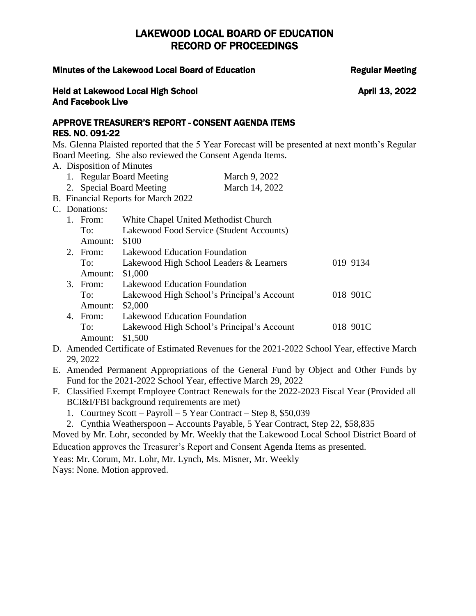### Minutes of the Lakewood Local Board of Education The Regular Meeting

## Held at Lakewood Local High School April 13, 2022 And Facebook Live

## APPROVE TREASURER'S REPORT - CONSENT AGENDA ITEMS RES. NO. 091-22

Ms. Glenna Plaisted reported that the 5 Year Forecast will be presented at next month's Regular Board Meeting. She also reviewed the Consent Agenda Items.

- A. Disposition of Minutes
	- 1. Regular Board Meeting March 9, 2022
	- 2. Special Board Meeting March 14, 2022
- B. Financial Reports for March 2022
- C. Do

|                | Donations: |                                            |          |
|----------------|------------|--------------------------------------------|----------|
| $\mathbf{1}$ . | From:      | White Chapel United Methodist Church       |          |
|                | To:        | Lakewood Food Service (Student Accounts)   |          |
|                | Amount:    | \$100                                      |          |
|                | 2. From:   | Lakewood Education Foundation              |          |
|                | To:        | Lakewood High School Leaders & Learners    | 019 9134 |
|                | Amount:    | \$1,000                                    |          |
|                | 3. From:   | Lakewood Education Foundation              |          |
|                | To:        | Lakewood High School's Principal's Account | 018 901C |
|                | Amount:    | \$2,000                                    |          |
|                | 4. From:   | Lakewood Education Foundation              |          |
|                | To:        | Lakewood High School's Principal's Account | 018 901C |
|                | Amount:    | \$1.500                                    |          |

- D. Amended Certificate of Estimated Revenues for the 2021-2022 School Year, effective March 29, 2022
- E. Amended Permanent Appropriations of the General Fund by Object and Other Funds by Fund for the 2021-2022 School Year, effective March 29, 2022
- F. Classified Exempt Employee Contract Renewals for the 2022-2023 Fiscal Year (Provided all BCI&I/FBI background requirements are met)
	- 1. Courtney Scott Payroll 5 Year Contract Step 8, \$50,039
	- 2. Cynthia Weatherspoon Accounts Payable, 5 Year Contract, Step 22, \$58,835

Moved by Mr. Lohr, seconded by Mr. Weekly that the Lakewood Local School District Board of Education approves the Treasurer's Report and Consent Agenda Items as presented.

Yeas: Mr. Corum, Mr. Lohr, Mr. Lynch, Ms. Misner, Mr. Weekly

Nays: None. Motion approved.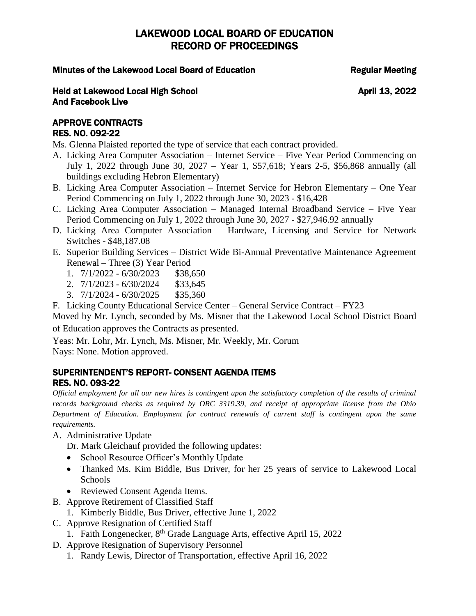## Minutes of the Lakewood Local Board of Education The Regular Meeting

### Held at Lakewood Local High School April 13, 2022 And Facebook Live

## APPROVE CONTRACTS RES. NO. 092-22

Ms. Glenna Plaisted reported the type of service that each contract provided.

- A. Licking Area Computer Association Internet Service Five Year Period Commencing on July 1, 2022 through June 30, 2027 – Year 1, \$57,618; Years 2-5, \$56,868 annually (all buildings excluding Hebron Elementary)
- B. Licking Area Computer Association Internet Service for Hebron Elementary One Year Period Commencing on July 1, 2022 through June 30, 2023 - \$16,428
- C. Licking Area Computer Association Managed Internal Broadband Service Five Year Period Commencing on July 1, 2022 through June 30, 2027 - \$27,946.92 annually
- D. Licking Area Computer Association Hardware, Licensing and Service for Network Switches - \$48,187.08
- E. Superior Building Services District Wide Bi-Annual Preventative Maintenance Agreement Renewal – Three (3) Year Period
	- 1.  $7/1/2022 6/30/2023$  \$38,650
	- 2. 7/1/2023 6/30/2024 \$33,645
	- 3. 7/1/2024 6/30/2025 \$35,360

F. Licking County Educational Service Center – General Service Contract – FY23

Moved by Mr. Lynch, seconded by Ms. Misner that the Lakewood Local School District Board of Education approves the Contracts as presented.

Yeas: Mr. Lohr, Mr. Lynch, Ms. Misner, Mr. Weekly, Mr. Corum Nays: None. Motion approved.

## SUPERINTENDENT'S REPORT- CONSENT AGENDA ITEMS RES. NO. 093-22

*Official employment for all our new hires is contingent upon the satisfactory completion of the results of criminal records background checks as required by ORC 3319.39, and receipt of appropriate license from the Ohio Department of Education. Employment for contract renewals of current staff is contingent upon the same requirements.*

- A. Administrative Update
	- Dr. Mark Gleichauf provided the following updates:
	- School Resource Officer's Monthly Update
	- Thanked Ms. Kim Biddle, Bus Driver, for her 25 years of service to Lakewood Local **Schools**
	- Reviewed Consent Agenda Items.
- B. Approve Retirement of Classified Staff
- 1. Kimberly Biddle, Bus Driver, effective June 1, 2022
- C. Approve Resignation of Certified Staff
	- 1. Faith Longenecker, 8th Grade Language Arts, effective April 15, 2022
- D. Approve Resignation of Supervisory Personnel
	- 1. Randy Lewis, Director of Transportation, effective April 16, 2022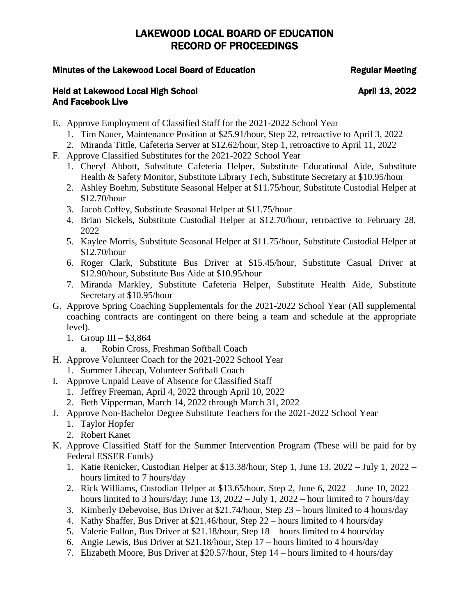## Minutes of the Lakewood Local Board of Education The Regular Meeting

- E. Approve Employment of Classified Staff for the 2021-2022 School Year
	- 1. Tim Nauer, Maintenance Position at \$25.91/hour, Step 22, retroactive to April 3, 2022
	- 2. Miranda Tittle, Cafeteria Server at \$12.62/hour, Step 1, retroactive to April 11, 2022
- F. Approve Classified Substitutes for the 2021-2022 School Year
	- 1. Cheryl Abbott, Substitute Cafeteria Helper, Substitute Educational Aide, Substitute Health & Safety Monitor, Substitute Library Tech, Substitute Secretary at \$10.95/hour
	- 2. Ashley Boehm, Substitute Seasonal Helper at \$11.75/hour, Substitute Custodial Helper at \$12.70/hour
	- 3. Jacob Coffey, Substitute Seasonal Helper at \$11.75/hour
	- 4. Brian Sickels, Substitute Custodial Helper at \$12.70/hour, retroactive to February 28, 2022
	- 5. Kaylee Morris, Substitute Seasonal Helper at \$11.75/hour, Substitute Custodial Helper at \$12.70/hour
	- 6. Roger Clark, Substitute Bus Driver at \$15.45/hour, Substitute Casual Driver at \$12.90/hour, Substitute Bus Aide at \$10.95/hour
	- 7. Miranda Markley, Substitute Cafeteria Helper, Substitute Health Aide, Substitute Secretary at \$10.95/hour
- G. Approve Spring Coaching Supplementals for the 2021-2022 School Year (All supplemental coaching contracts are contingent on there being a team and schedule at the appropriate level).
	- 1. Group III  $$3,864$ 
		- a. Robin Cross, Freshman Softball Coach
- H. Approve Volunteer Coach for the 2021-2022 School Year
	- 1. Summer Libecap, Volunteer Softball Coach
- I. Approve Unpaid Leave of Absence for Classified Staff
	- 1. Jeffrey Freeman, April 4, 2022 through April 10, 2022
	- 2. Beth Vipperman, March 14, 2022 through March 31, 2022
- J. Approve Non-Bachelor Degree Substitute Teachers for the 2021-2022 School Year
	- 1. Taylor Hopfer
	- 2. Robert Kanet
- K. Approve Classified Staff for the Summer Intervention Program (These will be paid for by Federal ESSER Funds)
	- 1. Katie Renicker, Custodian Helper at \$13.38/hour, Step 1, June 13, 2022 July 1, 2022 hours limited to 7 hours/day
	- 2. Rick Williams, Custodian Helper at \$13.65/hour, Step 2, June 6, 2022 June 10, 2022 hours limited to 3 hours/day; June 13, 2022 – July 1, 2022 – hour limited to 7 hours/day
	- 3. Kimberly Debevoise, Bus Driver at \$21.74/hour, Step 23 hours limited to 4 hours/day
	- 4. Kathy Shaffer, Bus Driver at \$21.46/hour, Step 22 hours limited to 4 hours/day
	- 5. Valerie Fallon, Bus Driver at \$21.18/hour, Step 18 hours limited to 4 hours/day
	- 6. Angie Lewis, Bus Driver at \$21.18/hour, Step 17 hours limited to 4 hours/day
	- 7. Elizabeth Moore, Bus Driver at \$20.57/hour, Step 14 hours limited to 4 hours/day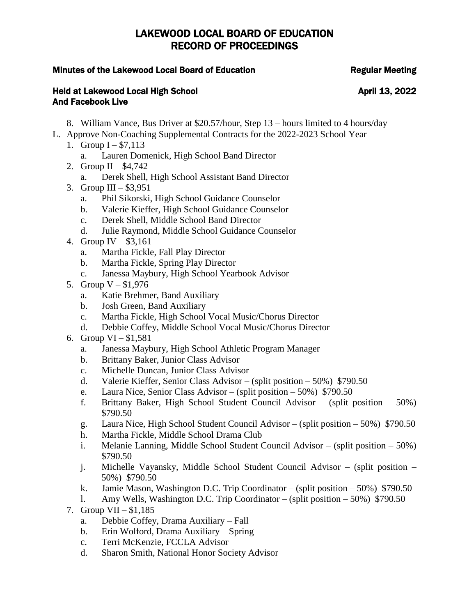## Minutes of the Lakewood Local Board of Education The Regular Meeting

- 8. William Vance, Bus Driver at \$20.57/hour, Step 13 hours limited to 4 hours/day
- L. Approve Non-Coaching Supplemental Contracts for the 2022-2023 School Year
	- 1. Group  $I $7,113$ 
		- a. Lauren Domenick, High School Band Director
	- 2. Group II \$4,742
		- a. Derek Shell, High School Assistant Band Director
	- 3. Group III  $$3,951$ 
		- a. Phil Sikorski, High School Guidance Counselor
		- b. Valerie Kieffer, High School Guidance Counselor
		- c. Derek Shell, Middle School Band Director
		- d. Julie Raymond, Middle School Guidance Counselor
	- 4. Group IV \$3,161
		- a. Martha Fickle, Fall Play Director
		- b. Martha Fickle, Spring Play Director
		- c. Janessa Maybury, High School Yearbook Advisor
	- 5. Group V \$1,976
		- a. Katie Brehmer, Band Auxiliary
		- b. Josh Green, Band Auxiliary
		- c. Martha Fickle, High School Vocal Music/Chorus Director
		- d. Debbie Coffey, Middle School Vocal Music/Chorus Director
	- 6. Group VI \$1,581
		- a. Janessa Maybury, High School Athletic Program Manager
		- b. Brittany Baker, Junior Class Advisor
		- c. Michelle Duncan, Junior Class Advisor
		- d. Valerie Kieffer, Senior Class Advisor (split position 50%) \$790.50
		- e. Laura Nice, Senior Class Advisor (split position 50%) \$790.50
		- f. Brittany Baker, High School Student Council Advisor (split position 50%) \$790.50
		- g. Laura Nice, High School Student Council Advisor (split position 50%) \$790.50
		- h. Martha Fickle, Middle School Drama Club
		- i. Melanie Lanning, Middle School Student Council Advisor (split position 50%) \$790.50
		- j. Michelle Vayansky, Middle School Student Council Advisor (split position 50%) \$790.50
		- k. Jamie Mason, Washington D.C. Trip Coordinator (split position 50%)  $$790.50$
		- l. Amy Wells, Washington D.C. Trip Coordinator (split position 50%) \$790.50
	- 7. Group VII \$1,185
		- a. Debbie Coffey, Drama Auxiliary Fall
		- b. Erin Wolford, Drama Auxiliary Spring
		- c. Terri McKenzie, FCCLA Advisor
		- d. Sharon Smith, National Honor Society Advisor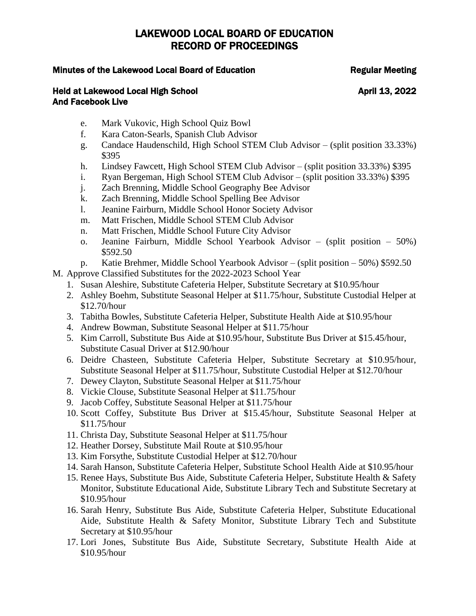## Minutes of the Lakewood Local Board of Education The Regular Meeting

- e. Mark Vukovic, High School Quiz Bowl
- f. Kara Caton-Searls, Spanish Club Advisor
- g. Candace Haudenschild, High School STEM Club Advisor (split position 33.33%) \$395
- h. Lindsey Fawcett, High School STEM Club Advisor (split position 33.33%) \$395
- i. Ryan Bergeman, High School STEM Club Advisor (split position 33.33%) \$395
- j. Zach Brenning, Middle School Geography Bee Advisor
- k. Zach Brenning, Middle School Spelling Bee Advisor
- l. Jeanine Fairburn, Middle School Honor Society Advisor
- m. Matt Frischen, Middle School STEM Club Advisor
- n. Matt Frischen, Middle School Future City Advisor
- o. Jeanine Fairburn, Middle School Yearbook Advisor (split position 50%) \$592.50
- p. Katie Brehmer, Middle School Yearbook Advisor (split position 50%) \$592.50
- M. Approve Classified Substitutes for the 2022-2023 School Year
	- 1. Susan Aleshire, Substitute Cafeteria Helper, Substitute Secretary at \$10.95/hour
	- 2. Ashley Boehm, Substitute Seasonal Helper at \$11.75/hour, Substitute Custodial Helper at \$12.70/hour
	- 3. Tabitha Bowles, Substitute Cafeteria Helper, Substitute Health Aide at \$10.95/hour
	- 4. Andrew Bowman, Substitute Seasonal Helper at \$11.75/hour
	- 5. Kim Carroll, Substitute Bus Aide at \$10.95/hour, Substitute Bus Driver at \$15.45/hour, Substitute Casual Driver at \$12.90/hour
	- 6. Deidre Chasteen, Substitute Cafeteria Helper, Substitute Secretary at \$10.95/hour, Substitute Seasonal Helper at \$11.75/hour, Substitute Custodial Helper at \$12.70/hour
	- 7. Dewey Clayton, Substitute Seasonal Helper at \$11.75/hour
	- 8. Vickie Clouse, Substitute Seasonal Helper at \$11.75/hour
	- 9. Jacob Coffey, Substitute Seasonal Helper at \$11.75/hour
	- 10. Scott Coffey, Substitute Bus Driver at \$15.45/hour, Substitute Seasonal Helper at \$11.75/hour
	- 11. Christa Day, Substitute Seasonal Helper at \$11.75/hour
	- 12. Heather Dorsey, Substitute Mail Route at \$10.95/hour
	- 13. Kim Forsythe, Substitute Custodial Helper at \$12.70/hour
	- 14. Sarah Hanson, Substitute Cafeteria Helper, Substitute School Health Aide at \$10.95/hour
	- 15. Renee Hays, Substitute Bus Aide, Substitute Cafeteria Helper, Substitute Health & Safety Monitor, Substitute Educational Aide, Substitute Library Tech and Substitute Secretary at \$10.95/hour
	- 16. Sarah Henry, Substitute Bus Aide, Substitute Cafeteria Helper, Substitute Educational Aide, Substitute Health & Safety Monitor, Substitute Library Tech and Substitute Secretary at \$10.95/hour
	- 17. Lori Jones, Substitute Bus Aide, Substitute Secretary, Substitute Health Aide at \$10.95/hour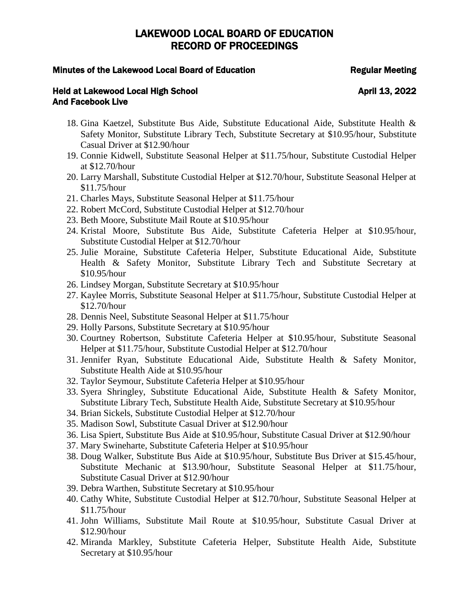### Minutes of the Lakewood Local Board of Education The Regular Meeting

- 18. Gina Kaetzel, Substitute Bus Aide, Substitute Educational Aide, Substitute Health & Safety Monitor, Substitute Library Tech, Substitute Secretary at \$10.95/hour, Substitute Casual Driver at \$12.90/hour
- 19. Connie Kidwell, Substitute Seasonal Helper at \$11.75/hour, Substitute Custodial Helper at \$12.70/hour
- 20. Larry Marshall, Substitute Custodial Helper at \$12.70/hour, Substitute Seasonal Helper at \$11.75/hour
- 21. Charles Mays, Substitute Seasonal Helper at \$11.75/hour
- 22. Robert McCord, Substitute Custodial Helper at \$12.70/hour
- 23. Beth Moore, Substitute Mail Route at \$10.95/hour
- 24. Kristal Moore, Substitute Bus Aide, Substitute Cafeteria Helper at \$10.95/hour, Substitute Custodial Helper at \$12.70/hour
- 25. Julie Moraine, Substitute Cafeteria Helper, Substitute Educational Aide, Substitute Health & Safety Monitor, Substitute Library Tech and Substitute Secretary at \$10.95/hour
- 26. Lindsey Morgan, Substitute Secretary at \$10.95/hour
- 27. Kaylee Morris, Substitute Seasonal Helper at \$11.75/hour, Substitute Custodial Helper at \$12.70/hour
- 28. Dennis Neel, Substitute Seasonal Helper at \$11.75/hour
- 29. Holly Parsons, Substitute Secretary at \$10.95/hour
- 30. Courtney Robertson, Substitute Cafeteria Helper at \$10.95/hour, Substitute Seasonal Helper at \$11.75/hour, Substitute Custodial Helper at \$12.70/hour
- 31. Jennifer Ryan, Substitute Educational Aide, Substitute Health & Safety Monitor, Substitute Health Aide at \$10.95/hour
- 32. Taylor Seymour, Substitute Cafeteria Helper at \$10.95/hour
- 33. Syera Shringley, Substitute Educational Aide, Substitute Health & Safety Monitor, Substitute Library Tech, Substitute Health Aide, Substitute Secretary at \$10.95/hour
- 34. Brian Sickels, Substitute Custodial Helper at \$12.70/hour
- 35. Madison Sowl, Substitute Casual Driver at \$12.90/hour
- 36. Lisa Spiert, Substitute Bus Aide at \$10.95/hour, Substitute Casual Driver at \$12.90/hour
- 37. Mary Swineharte, Substitute Cafeteria Helper at \$10.95/hour
- 38. Doug Walker, Substitute Bus Aide at \$10.95/hour, Substitute Bus Driver at \$15.45/hour, Substitute Mechanic at \$13.90/hour, Substitute Seasonal Helper at \$11.75/hour, Substitute Casual Driver at \$12.90/hour
- 39. Debra Warthen, Substitute Secretary at \$10.95/hour
- 40. Cathy White, Substitute Custodial Helper at \$12.70/hour, Substitute Seasonal Helper at \$11.75/hour
- 41. John Williams, Substitute Mail Route at \$10.95/hour, Substitute Casual Driver at \$12.90/hour
- 42. Miranda Markley, Substitute Cafeteria Helper, Substitute Health Aide, Substitute Secretary at \$10.95/hour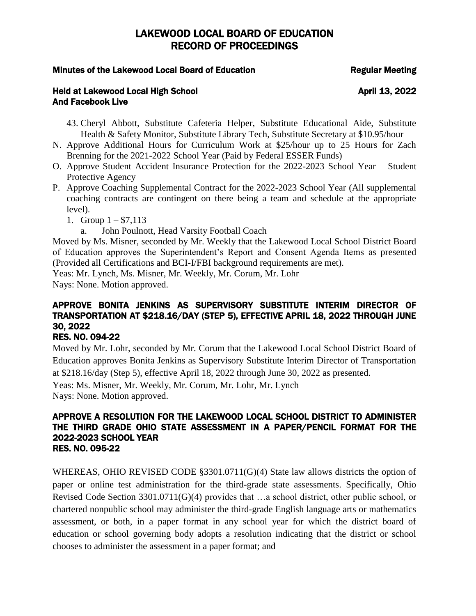## Minutes of the Lakewood Local Board of Education The Regular Meeting

## Held at Lakewood Local High School April 13, 2022 And Facebook Live

- 43. Cheryl Abbott, Substitute Cafeteria Helper, Substitute Educational Aide, Substitute Health & Safety Monitor, Substitute Library Tech, Substitute Secretary at \$10.95/hour
- N. Approve Additional Hours for Curriculum Work at \$25/hour up to 25 Hours for Zach Brenning for the 2021-2022 School Year (Paid by Federal ESSER Funds)
- O. Approve Student Accident Insurance Protection for the 2022-2023 School Year Student Protective Agency
- P. Approve Coaching Supplemental Contract for the 2022-2023 School Year (All supplemental coaching contracts are contingent on there being a team and schedule at the appropriate level).
	- 1. Group  $1 $7,113$ 
		- a. John Poulnott, Head Varsity Football Coach

Moved by Ms. Misner, seconded by Mr. Weekly that the Lakewood Local School District Board of Education approves the Superintendent's Report and Consent Agenda Items as presented (Provided all Certifications and BCI-I/FBI background requirements are met).

Yeas: Mr. Lynch, Ms. Misner, Mr. Weekly, Mr. Corum, Mr. Lohr

Nays: None. Motion approved.

# APPROVE BONITA JENKINS AS SUPERVISORY SUBSTITUTE INTERIM DIRECTOR OF TRANSPORTATION AT \$218.16/DAY (STEP 5), EFFECTIVE APRIL 18, 2022 THROUGH JUNE 30, 2022

# RES. NO. 094-22

Moved by Mr. Lohr, seconded by Mr. Corum that the Lakewood Local School District Board of Education approves Bonita Jenkins as Supervisory Substitute Interim Director of Transportation at \$218.16/day (Step 5), effective April 18, 2022 through June 30, 2022 as presented.

Yeas: Ms. Misner, Mr. Weekly, Mr. Corum, Mr. Lohr, Mr. Lynch Nays: None. Motion approved.

### APPROVE A RESOLUTION FOR THE LAKEWOOD LOCAL SCHOOL DISTRICT TO ADMINISTER THE THIRD GRADE OHIO STATE ASSESSMENT IN A PAPER/PENCIL FORMAT FOR THE 2022-2023 SCHOOL YEAR RES. NO. 095-22

WHEREAS, OHIO REVISED CODE §3301.0711(G)(4) State law allows districts the option of paper or online test administration for the third-grade state assessments. Specifically, Ohio Revised Code Section 3301.0711(G)(4) provides that …a school district, other public school, or chartered nonpublic school may administer the third-grade English language arts or mathematics assessment, or both, in a paper format in any school year for which the district board of education or school governing body adopts a resolution indicating that the district or school chooses to administer the assessment in a paper format; and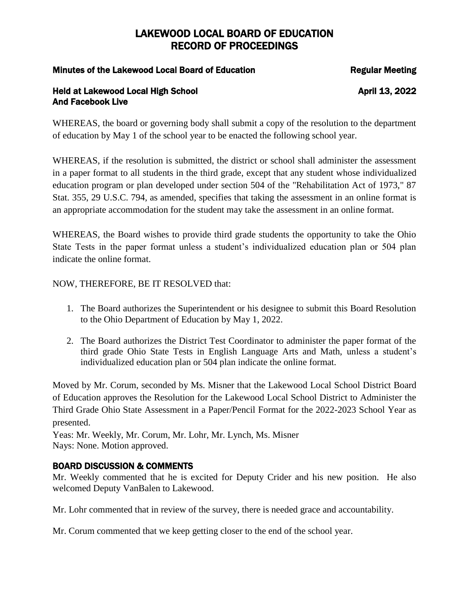## Minutes of the Lakewood Local Board of Education The Regular Meeting

## Held at Lakewood Local High School April 13, 2022 And Facebook Live

WHEREAS, the board or governing body shall submit a copy of the resolution to the department of education by May 1 of the school year to be enacted the following school year.

WHEREAS, if the resolution is submitted, the district or school shall administer the assessment in a paper format to all students in the third grade, except that any student whose individualized education program or plan developed under section 504 of the "Rehabilitation Act of 1973," 87 Stat. 355, 29 U.S.C. 794, as amended, specifies that taking the assessment in an online format is an appropriate accommodation for the student may take the assessment in an online format.

WHEREAS, the Board wishes to provide third grade students the opportunity to take the Ohio State Tests in the paper format unless a student's individualized education plan or 504 plan indicate the online format.

## NOW, THEREFORE, BE IT RESOLVED that:

- 1. The Board authorizes the Superintendent or his designee to submit this Board Resolution to the Ohio Department of Education by May 1, 2022.
- 2. The Board authorizes the District Test Coordinator to administer the paper format of the third grade Ohio State Tests in English Language Arts and Math, unless a student's individualized education plan or 504 plan indicate the online format.

Moved by Mr. Corum, seconded by Ms. Misner that the Lakewood Local School District Board of Education approves the Resolution for the Lakewood Local School District to Administer the Third Grade Ohio State Assessment in a Paper/Pencil Format for the 2022-2023 School Year as presented.

Yeas: Mr. Weekly, Mr. Corum, Mr. Lohr, Mr. Lynch, Ms. Misner Nays: None. Motion approved.

# BOARD DISCUSSION & COMMENTS

Mr. Weekly commented that he is excited for Deputy Crider and his new position. He also welcomed Deputy VanBalen to Lakewood.

Mr. Lohr commented that in review of the survey, there is needed grace and accountability.

Mr. Corum commented that we keep getting closer to the end of the school year.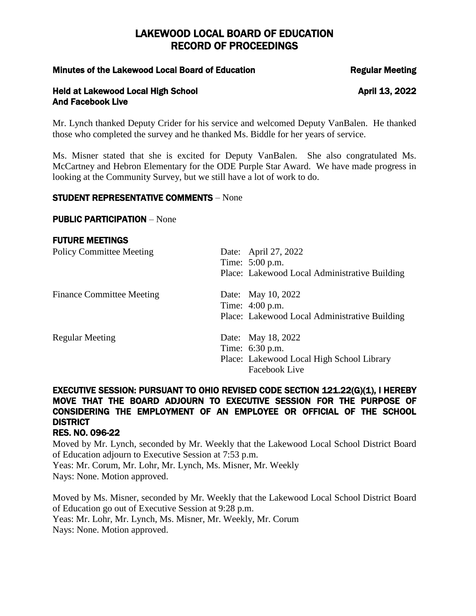### Minutes of the Lakewood Local Board of Education The Regular Meeting

### Held at Lakewood Local High School April 13, 2022 And Facebook Live

Mr. Lynch thanked Deputy Crider for his service and welcomed Deputy VanBalen. He thanked those who completed the survey and he thanked Ms. Biddle for her years of service.

Ms. Misner stated that she is excited for Deputy VanBalen. She also congratulated Ms. McCartney and Hebron Elementary for the ODE Purple Star Award. We have made progress in looking at the Community Survey, but we still have a lot of work to do.

## STUDENT REPRESENTATIVE COMMENTS – None

### PUBLIC PARTICIPATION – None

### FUTURE MEETINGS

| <b>Policy Committee Meeting</b>  | Date: April 27, 2022<br>Time: 5:00 p.m.                                                             |
|----------------------------------|-----------------------------------------------------------------------------------------------------|
|                                  | Place: Lakewood Local Administrative Building                                                       |
| <b>Finance Committee Meeting</b> | Date: May 10, 2022<br>Time: 4:00 p.m.<br>Place: Lakewood Local Administrative Building              |
| <b>Regular Meeting</b>           | Date: May 18, 2022<br>Time: 6:30 p.m.<br>Place: Lakewood Local High School Library<br>Facebook Live |

# EXECUTIVE SESSION: PURSUANT TO OHIO REVISED CODE SECTION 121.22(G)(1), I HEREBY MOVE THAT THE BOARD ADJOURN TO EXECUTIVE SESSION FOR THE PURPOSE OF CONSIDERING THE EMPLOYMENT OF AN EMPLOYEE OR OFFICIAL OF THE SCHOOL **DISTRICT**

### RES. NO. 096-22

Moved by Mr. Lynch, seconded by Mr. Weekly that the Lakewood Local School District Board of Education adjourn to Executive Session at 7:53 p.m. Yeas: Mr. Corum, Mr. Lohr, Mr. Lynch, Ms. Misner, Mr. Weekly Nays: None. Motion approved.

Moved by Ms. Misner, seconded by Mr. Weekly that the Lakewood Local School District Board of Education go out of Executive Session at 9:28 p.m. Yeas: Mr. Lohr, Mr. Lynch, Ms. Misner, Mr. Weekly, Mr. Corum Nays: None. Motion approved.